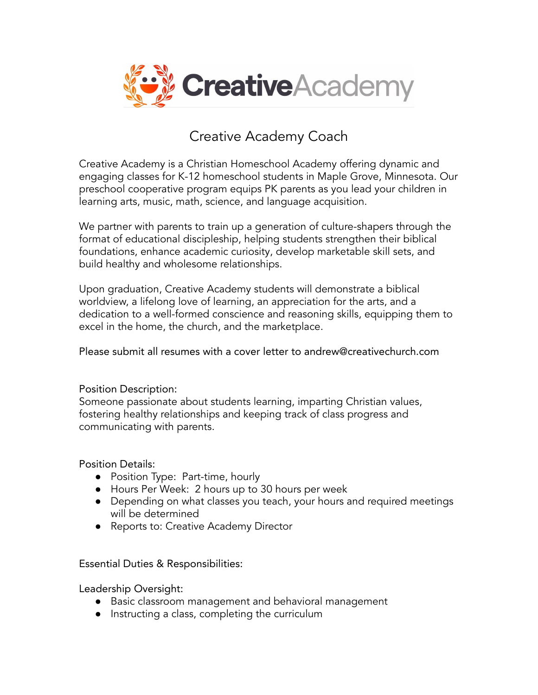

# Creative Academy Coach

Creative Academy is a Christian Homeschool Academy offering dynamic and engaging classes for K-12 homeschool students in Maple Grove, Minnesota. Our preschool cooperative program equips PK parents as you lead your children in learning arts, music, math, science, and language acquisition.

We partner with parents to train up a generation of culture-shapers through the format of educational discipleship, helping students strengthen their biblical foundations, enhance academic curiosity, develop marketable skill sets, and build healthy and wholesome relationships.

Upon graduation, Creative Academy students will demonstrate a biblical worldview, a lifelong love of learning, an appreciation for the arts, and a dedication to a well-formed conscience and reasoning skills, equipping them to excel in the home, the church, and the marketplace.

#### Please submit all resumes with a cover letter to andrew@creativechurch.com

## Position Description:

Someone passionate about students learning, imparting Christian values, fostering healthy relationships and keeping track of class progress and communicating with parents.

#### Position Details:

- Position Type: Part-time, hourly
- Hours Per Week: 2 hours up to 30 hours per week
- Depending on what classes you teach, your hours and required meetings will be determined
- Reports to: Creative Academy Director

## Essential Duties & Responsibilities:

Leadership Oversight:

- Basic classroom management and behavioral management
- Instructing a class, completing the curriculum